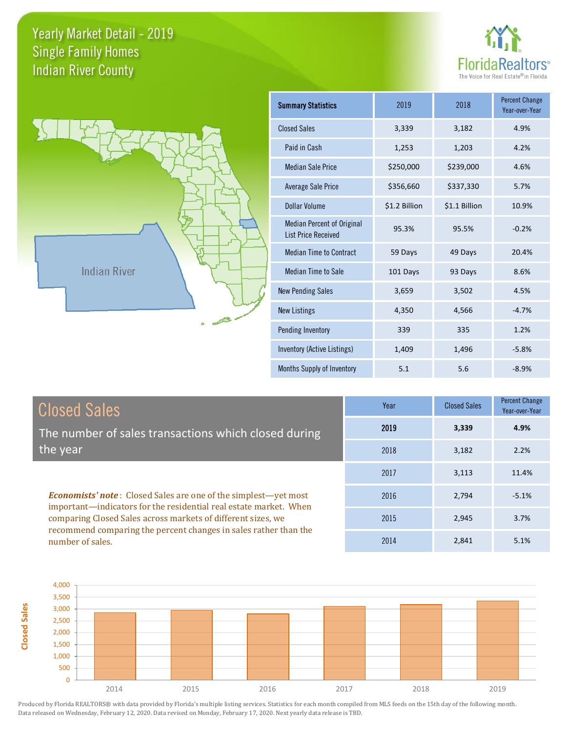**Closed Sales**





| <b>Summary Statistics</b>                                       | 2019          | 2018          | <b>Percent Change</b><br>Year-over-Year |
|-----------------------------------------------------------------|---------------|---------------|-----------------------------------------|
| <b>Closed Sales</b>                                             | 3,339         | 3,182         | 4.9%                                    |
| Paid in Cash                                                    | 1,253         | 1,203         | 4.2%                                    |
| <b>Median Sale Price</b>                                        | \$250,000     | \$239,000     | 4.6%                                    |
| <b>Average Sale Price</b>                                       | \$356,660     | \$337,330     | 5.7%                                    |
| Dollar Volume                                                   | \$1.2 Billion | \$1.1 Billion | 10.9%                                   |
| <b>Median Percent of Original</b><br><b>List Price Received</b> | 95.3%         | 95.5%         | $-0.2%$                                 |
| <b>Median Time to Contract</b>                                  | 59 Days       | 49 Days       | 20.4%                                   |
| <b>Median Time to Sale</b>                                      | 101 Days      | 93 Days       | 8.6%                                    |
| <b>New Pending Sales</b>                                        | 3,659         | 3,502         | 4.5%                                    |
| <b>New Listings</b>                                             | 4,350         | 4,566         | $-4.7%$                                 |
| Pending Inventory                                               | 339           | 335           | 1.2%                                    |
| Inventory (Active Listings)                                     | 1,409         | 1,496         | $-5.8%$                                 |
| Months Supply of Inventory                                      | 5.1           | 5.6           | $-8.9%$                                 |

| <b>Closed Sales</b>                                                                                                                                                                                         | Year | <b>Closed Sales</b> | Percent Change<br>Year-over-Year |
|-------------------------------------------------------------------------------------------------------------------------------------------------------------------------------------------------------------|------|---------------------|----------------------------------|
| The number of sales transactions which closed during                                                                                                                                                        | 2019 | 3,339               | 4.9%                             |
| the year                                                                                                                                                                                                    | 2018 | 3,182               | 2.2%                             |
|                                                                                                                                                                                                             | 2017 | 3,113               | 11.4%                            |
| <b>Economists' note:</b> Closed Sales are one of the simplest-yet most<br>important—indicators for the residential real estate market. When<br>comparing Closed Sales across markets of different sizes, we | 2016 | 2,794               | $-5.1%$                          |
|                                                                                                                                                                                                             | 2015 | 2,945               | 3.7%                             |
| recommend comparing the percent changes in sales rather than the<br>number of sales.                                                                                                                        | 2014 | 2.841               | 5.1%                             |

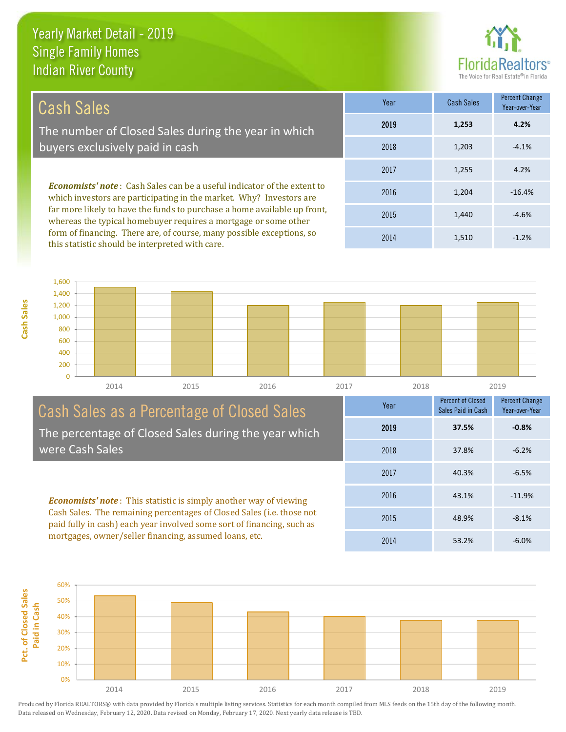**Cash Sales**



| Cash Sales                                                                                                                                            | Year | <b>Cash Sales</b> | <b>Percent Change</b><br>Year-over-Year |
|-------------------------------------------------------------------------------------------------------------------------------------------------------|------|-------------------|-----------------------------------------|
| The number of Closed Sales during the year in which                                                                                                   | 2019 | 1,253             | 4.2%                                    |
| buyers exclusively paid in cash                                                                                                                       | 2018 | 1.203             | $-4.1%$                                 |
|                                                                                                                                                       | 2017 | 1,255             | 4.2%                                    |
| <b>Economists' note:</b> Cash Sales can be a useful indicator of the extent to<br>which investors are participating in the market. Why? Investors are | 2016 | 1.204             | $-16.4%$                                |
| far more likely to have the funds to purchase a home available up front,<br>whereas the typical homebuyer requires a mortgage or some other           | 2015 | 1,440             | $-4.6%$                                 |

form of financing. There are, of course, many possible exceptions, so this statistic should be interpreted with care.

2014 1,510 -1.2%



#### Cash Sales as a Percentage of Closed Sales The percentage of Closed Sales during the year which were Cash Sales

*Economists' note* : This statistic is simply another way of viewing Cash Sales. The remaining percentages of Closed Sales (i.e. those not paid fully in cash) each year involved some sort of financing, such as mortgages, owner/seller financing, assumed loans, etc.



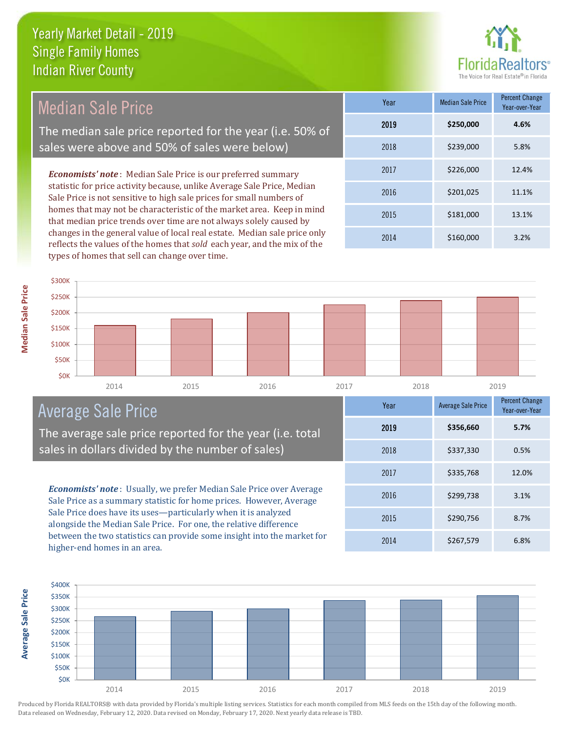

| Median Sale Price                                                                                                                                     | Year | <b>Median Sale Price</b> | <b>Percent Change</b><br>Year-over-Year |
|-------------------------------------------------------------------------------------------------------------------------------------------------------|------|--------------------------|-----------------------------------------|
| The median sale price reported for the year (i.e. 50% of                                                                                              | 2019 | \$250,000                | 4.6%                                    |
| sales were above and 50% of sales were below)                                                                                                         | 2018 | \$239,000                | 5.8%                                    |
| <b>Economists' note:</b> Median Sale Price is our preferred summary                                                                                   | 2017 | \$226,000                | 12.4%                                   |
| statistic for price activity because, unlike Average Sale Price, Median<br>Sale Price is not sensitive to high sale prices for small numbers of       | 2016 | \$201,025                | 11.1%                                   |
| homes that may not be characteristic of the market area. Keep in mind<br>that median price trends over time are not always solely caused by           | 2015 | \$181,000                | 13.1%                                   |
| changes in the general value of local real estate. Median sale price only<br>reflects the values of the homes that sold each year, and the mix of the | 2014 | \$160,000                | 3.2%                                    |

2014 2015 2016 2017 2018 2019 \$0K \$50K \$100K \$150K \$200K \$250K \$300K

## Average Sale Price

types of homes that sell can change over time.

The average sale price reported for the year (i.e. total sales in dollars divided by the number of sales)

*Economists' note* : Usually, we prefer Median Sale Price over Average Sale Price as a summary statistic for home prices. However, Average Sale Price does have its uses—particularly when it is analyzed alongside the Median Sale Price. For one, the relative difference between the two statistics can provide some insight into the market for higher-end homes in an area.

| Year | <b>Average Sale Price</b> | <b>Percent Change</b><br>Year-over-Year |
|------|---------------------------|-----------------------------------------|
| 2019 | \$356,660                 | 5.7%                                    |
| 2018 | \$337,330                 | 0.5%                                    |
| 2017 | \$335,768                 | 12.0%                                   |
| 2016 | \$299,738                 | 3.1%                                    |
| 2015 | \$290,756                 | 8.7%                                    |
| 2014 | \$267,579                 | 6.8%                                    |



Produced by Florida REALTORS® with data provided by Florida's multiple listing services. Statistics for each month compiled from MLS feeds on the 15th day of the following month. Data released on Wednesday, February 12, 2020. Data revised on Monday, February 17, 2020. Next yearly data release is TBD.

**Average Sale Price**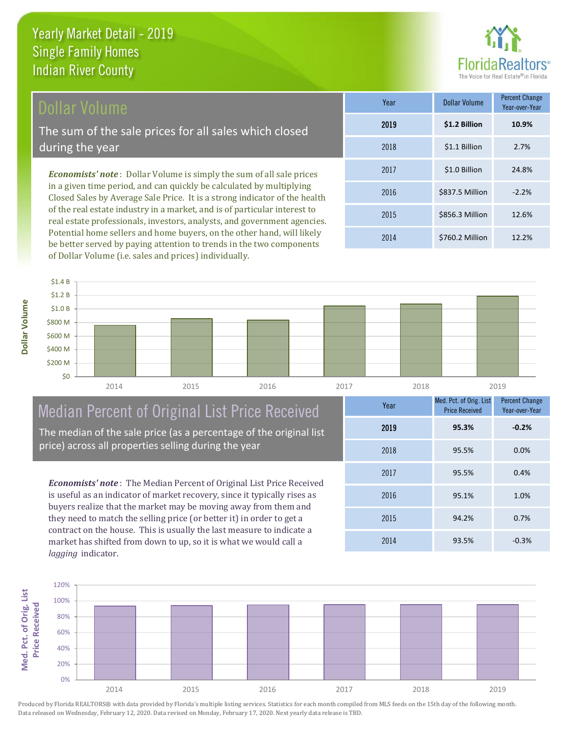

#### Dollar Volume

The sum of the sale prices for all sales which closed during the year

*Economists' note* : Dollar Volume is simply the sum of all sale prices in a given time period, and can quickly be calculated by multiplying Closed Sales by Average Sale Price. It is a strong indicator of the health of the real estate industry in a market, and is of particular interest to real estate professionals, investors, analysts, and government agencies. Potential home sellers and home buyers, on the other hand, will likely be better served by paying attention to trends in the two components of Dollar Volume (i.e. sales and prices) individually.

| Year | Dollar Volume   | <b>Percent Change</b><br>Year-over-Year |
|------|-----------------|-----------------------------------------|
| 2019 | \$1.2 Billion   | 10.9%                                   |
| 2018 | \$1.1 Billion   | 2.7%                                    |
| 2017 | \$1.0 Billion   | 24.8%                                   |
| 2016 | \$837.5 Million | $-2.2%$                                 |
| 2015 | \$856.3 Million | 12.6%                                   |
| 2014 | \$760.2 Million | 12.2%                                   |

**Dollar Volume**



# Median Percent of Original List Price Received

The median of the sale price (as a percentage of the original list price) across all properties selling during the year

*Economists' note* : The Median Percent of Original List Price Received is useful as an indicator of market recovery, since it typically rises as buyers realize that the market may be moving away from them and they need to match the selling price (or better it) in order to get a contract on the house. This is usually the last measure to indicate a market has shifted from down to up, so it is what we would call a *lagging* indicator.

| Year | Med. Pct. of Orig. List<br><b>Price Received</b> | <b>Percent Change</b><br>Year-over-Year |
|------|--------------------------------------------------|-----------------------------------------|
| 2019 | 95.3%                                            | $-0.2%$                                 |
| 2018 | 95.5%                                            | 0.0%                                    |
| 2017 | 95.5%                                            | 0.4%                                    |
| 2016 | 95.1%                                            | 1.0%                                    |
| 2015 | 94.2%                                            | 0.7%                                    |
| 2014 | 93.5%                                            | $-0.3%$                                 |

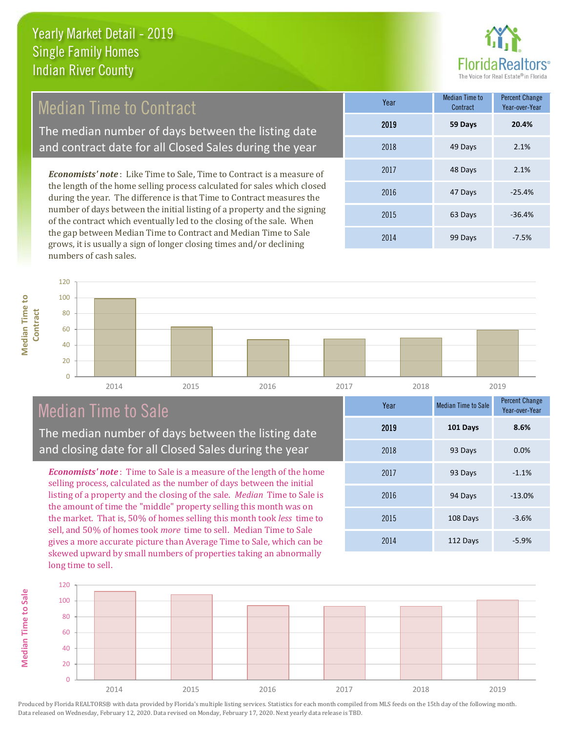

### Median Time to Contract

The median number of days between the listing date and contract date for all Closed Sales during the year

*Economists' note* : Like Time to Sale, Time to Contract is a measure of the length of the home selling process calculated for sales which closed during the year. The difference is that Time to Contract measures the number of days between the initial listing of a property and the signing of the contract which eventually led to the closing of the sale. When the gap between Median Time to Contract and Median Time to Sale grows, it is usually a sign of longer closing times and/or declining numbers of cash sales.

| Year | <b>Median Time to</b><br>Contract | <b>Percent Change</b><br>Year-over-Year |
|------|-----------------------------------|-----------------------------------------|
| 2019 | 59 Days                           | 20.4%                                   |
| 2018 | 49 Days                           | 2.1%                                    |
| 2017 | 48 Days                           | 2.1%                                    |
| 2016 | 47 Days                           | $-25.4%$                                |
| 2015 | 63 Days                           | $-36.4%$                                |
| 2014 | 99 Days                           | $-7.5%$                                 |

**Median Time to Median Time to Contract** 120

**Median Time to Sale**

**Median Time to Sale** 



## Median Time to Sale

The median number of days between the listing date and closing date for all Closed Sales during the year

*Economists' note* : Time to Sale is a measure of the length of the home selling process, calculated as the number of days between the initial listing of a property and the closing of the sale. *Median* Time to Sale is the amount of time the "middle" property selling this month was on the market. That is, 50% of homes selling this month took *less* time to sell, and 50% of homes took *more* time to sell. Median Time to Sale gives a more accurate picture than Average Time to Sale, which can be skewed upward by small numbers of properties taking an abnormally long time to sell.

| Year | <b>Median Time to Sale</b> | <b>Percent Change</b><br>Year-over-Year |
|------|----------------------------|-----------------------------------------|
| 2019 | 101 Days                   | 8.6%                                    |
| 2018 | 93 Days                    | 0.0%                                    |
| 2017 | 93 Days                    | $-1.1%$                                 |
| 2016 | 94 Days                    | $-13.0%$                                |
| 2015 | 108 Days                   | $-3.6%$                                 |
| 2014 | 112 Days                   | $-5.9%$                                 |

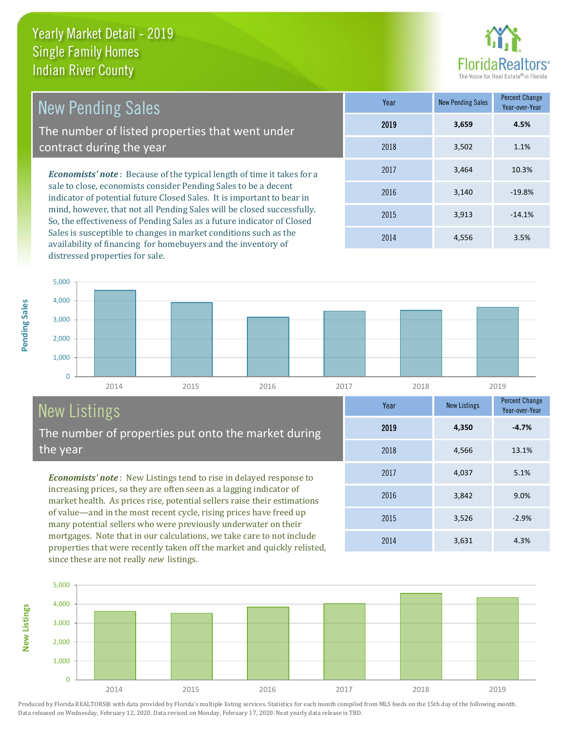

| <b>New Pending Sales</b>                                                                                                                  | Year | <b>New Pending Sales</b> | <b>Percent Change</b><br>Year-over-Year |
|-------------------------------------------------------------------------------------------------------------------------------------------|------|--------------------------|-----------------------------------------|
| The number of listed properties that went under                                                                                           | 2019 | 3,659                    | 4.5%                                    |
| contract during the year                                                                                                                  | 2018 | 3,502                    | 1.1%                                    |
| <b>Economists' note</b> : Because of the typical length of time it takes for a                                                            | 2017 | 3,464                    | 10.3%                                   |
| sale to close, economists consider Pending Sales to be a decent<br>indicator of potential future Closed Sales. It is important to bear in | 2016 | 3.140                    | $-19.8%$                                |
| mind, however, that not all Pending Sales will be closed successfully.                                                                    | 2015 | 3.913                    | $-14.1%$                                |

So, the effectiveness of Pending Sales as a future indicator of Closed Sales is susceptible to changes in market conditions such as the availability of financing for homebuyers and the inventory of distressed properties for sale.

2015 3,913 -14.1% 2014 4,556 3.5%



# New Listings

The number of properties put onto the market during the year

*Economists' note* : New Listings tend to rise in delayed response to increasing prices, so they are often seen as a lagging indicator of market health. As prices rise, potential sellers raise their estimations of value—and in the most recent cycle, rising prices have freed up many potential sellers who were previously underwater on their mortgages. Note that in our calculations, we take care to not include properties that were recently taken off the market and quickly relisted, since these are not really *new* listings.

|          | i eal | <b>NEW LISTINGS</b> | Year-over-Year |
|----------|-------|---------------------|----------------|
|          | 2019  | 4,350               | $-4.7%$        |
|          | 2018  | 4,566               | 13.1%          |
|          | 2017  | 4,037               | 5.1%           |
|          | 2016  | 3,842               | 9.0%           |
|          | 2015  | 3,526               | $-2.9%$        |
| <b>A</b> | 2014  | 3,631               | 4.3%           |



Produced by Florida REALTORS® with data provided by Florida's multiple listing services. Statistics for each month compiled from MLS feeds on the 15th day of the following month. Data released on Wednesday, February 12, 2020. Data revised on Monday, February 17, 2020. Next yearly data release is TBD.

**New Listings**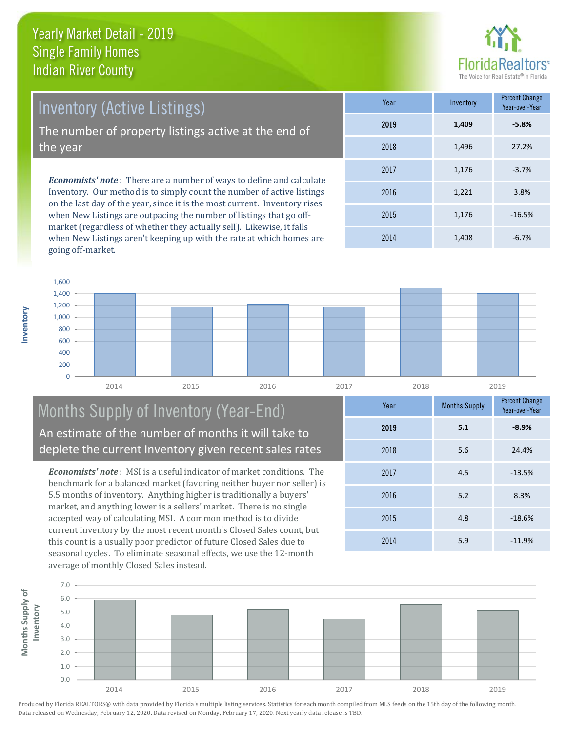

Inventory (Active Listings) The number of property listings active at the end of the year

*Economists' note* : There are a number of ways to define and calculate Inventory. Our method is to simply count the number of active listings on the last day of the year, since it is the most current. Inventory rises when New Listings are outpacing the number of listings that go offmarket (regardless of whether they actually sell). Likewise, it falls when New Listings aren't keeping up with the rate at which homes are going off-market.

| Year | Inventory | <b>Percent Change</b><br>Year-over-Year |
|------|-----------|-----------------------------------------|
| 2019 | 1,409     | $-5.8%$                                 |
| 2018 | 1,496     | 27.2%                                   |
| 2017 | 1,176     | $-3.7%$                                 |
| 2016 | 1,221     | 3.8%                                    |
| 2015 | 1,176     | $-16.5%$                                |
| 2014 | 1,408     | $-6.7%$                                 |



#### Months Supply of Inventory (Year-End) An estimate of the number of months it will take to deplete the current Inventory given recent sales rates

*Economists' note* : MSI is a useful indicator of market conditions. The benchmark for a balanced market (favoring neither buyer nor seller) is 5.5 months of inventory. Anything higher is traditionally a buyers' market, and anything lower is a sellers' market. There is no single accepted way of calculating MSI. A common method is to divide current Inventory by the most recent month's Closed Sales count, but this count is a usually poor predictor of future Closed Sales due to seasonal cycles. To eliminate seasonal effects, we use the 12-month average of monthly Closed Sales instead.

| Year | <b>Months Supply</b> | <b>Percent Change</b><br>Year-over-Year |
|------|----------------------|-----------------------------------------|
| 2019 | 5.1                  | $-8.9%$                                 |
| 2018 | 5.6                  | 24.4%                                   |
| 2017 | 4.5                  | $-13.5%$                                |
| 2016 | 5.2                  | 8.3%                                    |
| 2015 | 4.8                  | $-18.6%$                                |
| 2014 | 5.9                  | $-11.9%$                                |

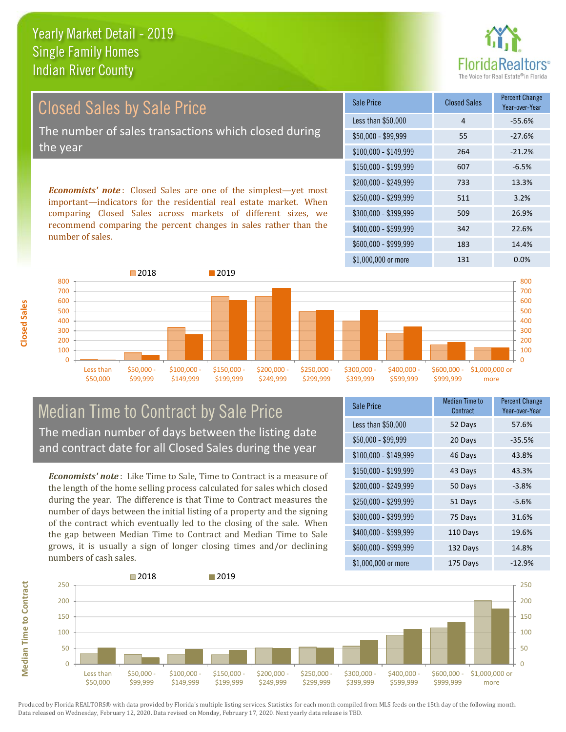

Closed Sales by Sale Price The number of sales transactions which closed during the year

*Economists' note* : Closed Sales are one of the simplest—yet most important—indicators for the residential real estate market. When comparing Closed Sales across markets of different sizes, we recommend comparing the percent changes in sales rather than the number of sales.

| Sale Price            | <b>Closed Sales</b> | Percent Change<br>Year-over-Year |
|-----------------------|---------------------|----------------------------------|
| Less than \$50,000    | 4                   | -55.6%                           |
| $$50,000 - $99,999$   | 55                  | $-27.6%$                         |
| $$100,000 - $149,999$ | 264                 | $-21.2%$                         |
| $$150,000 - $199,999$ | 607                 | $-6.5%$                          |
| \$200,000 - \$249,999 | 733                 | 13.3%                            |
| \$250,000 - \$299,999 | 511                 | 3.2%                             |
| \$300,000 - \$399,999 | 509                 | 26.9%                            |
| \$400,000 - \$599,999 | 342                 | 22.6%                            |
| \$600,000 - \$999,999 | 183                 | 14.4%                            |
| \$1,000,000 or more   | 131                 | 0.0%                             |



#### Median Time to Contract by Sale Price The median number of days between the listing date and contract date for all Closed Sales during the year

*Economists' note* : Like Time to Sale, Time to Contract is a measure of the length of the home selling process calculated for sales which closed during the year. The difference is that Time to Contract measures the number of days between the initial listing of a property and the signing of the contract which eventually led to the closing of the sale. When the gap between Median Time to Contract and Median Time to Sale grows, it is usually a sign of longer closing times and/or declining numbers of cash sales.

| Sale Price            | <b>Median Time to</b><br>Contract | <b>Percent Change</b><br>Year-over-Year |
|-----------------------|-----------------------------------|-----------------------------------------|
| Less than \$50,000    | 52 Days                           | 57.6%                                   |
| $$50,000 - $99,999$   | 20 Days                           | $-35.5%$                                |
| $$100,000 - $149,999$ | 46 Days                           | 43.8%                                   |
| $$150,000 - $199,999$ | 43 Days                           | 43.3%                                   |
| \$200,000 - \$249,999 | 50 Days                           | $-3.8%$                                 |
| \$250,000 - \$299,999 | 51 Days                           | $-5.6%$                                 |
| \$300,000 - \$399,999 | 75 Days                           | 31.6%                                   |
| \$400,000 - \$599,999 | 110 Days                          | 19.6%                                   |
| \$600,000 - \$999,999 | 132 Days                          | 14.8%                                   |
| \$1,000,000 or more   | 175 Days                          | $-12.9%$                                |

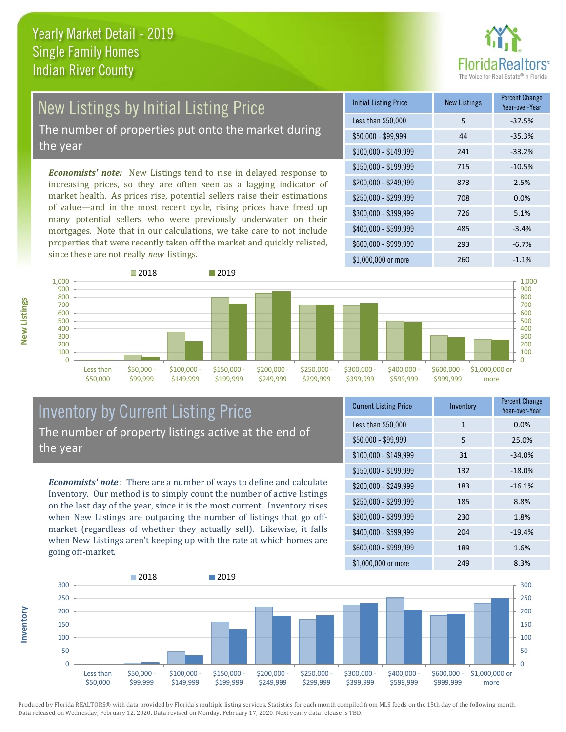

# New Listings by Initial Listing Price

The number of properties put onto the market during the year

*Economists' note:* New Listings tend to rise in delayed response to increasing prices, so they are often seen as a lagging indicator of market health. As prices rise, potential sellers raise their estimations of value—and in the most recent cycle, rising prices have freed up many potential sellers who were previously underwater on their mortgages. Note that in our calculations, we take care to not include properties that were recently taken off the market and quickly relisted, since these are not really *new* listings.

| <b>Initial Listing Price</b> | <b>New Listings</b> | <b>Percent Change</b><br>Year-over-Year |
|------------------------------|---------------------|-----------------------------------------|
| Less than \$50,000           | 5                   | $-37.5%$                                |
| $$50,000 - $99,999$          | 44                  | $-35.3%$                                |
| $$100,000 - $149,999$        | 241                 | $-33.2%$                                |
| $$150,000 - $199,999$        | 715                 | $-10.5%$                                |
| $$200,000 - $249,999$        | 873                 | 2.5%                                    |
| \$250,000 - \$299,999        | 708                 | 0.0%                                    |
| \$300,000 - \$399,999        | 726                 | 5.1%                                    |
| $$400,000 - $599,999$        | 485                 | $-3.4%$                                 |
| \$600,000 - \$999,999        | 293                 | $-6.7%$                                 |
| \$1,000,000 or more          | 260                 | $-1.1%$                                 |



#### Inventory by Current Listing Price The number of property listings active at the end of the year

*Economists' note* : There are a number of ways to define and calculate Inventory. Our method is to simply count the number of active listings on the last day of the year, since it is the most current. Inventory rises when New Listings are outpacing the number of listings that go offmarket (regardless of whether they actually sell). Likewise, it falls when New Listings aren't keeping up with the rate at which homes are going off-market.

| <b>Current Listing Price</b> | Inventory    | Percent Change<br>Year-over-Year |
|------------------------------|--------------|----------------------------------|
| Less than \$50,000           | $\mathbf{1}$ | 0.0%                             |
| $$50,000 - $99,999$          | 5            | 25.0%                            |
| $$100,000 - $149,999$        | 31           | $-34.0%$                         |
| $$150,000 - $199,999$        | 132          | $-18.0%$                         |
| \$200,000 - \$249,999        | 183          | $-16.1%$                         |
| \$250,000 - \$299,999        | 185          | 8.8%                             |
| \$300,000 - \$399,999        | 230          | 1.8%                             |
| \$400,000 - \$599,999        | 204          | $-19.4%$                         |
| \$600,000 - \$999,999        | 189          | 1.6%                             |
| $$1$ $000$ $000$ or more     | 24 Q         | $8.3\%$                          |



Produced by Florida REALTORS® with data provided by Florida's multiple listing services. Statistics for each month compiled from MLS feeds on the 15th day of the following month. Data released on Wednesday, February 12, 2020. Data revised on Monday, February 17, 2020. Next yearly data release is TBD.

**Inventory**